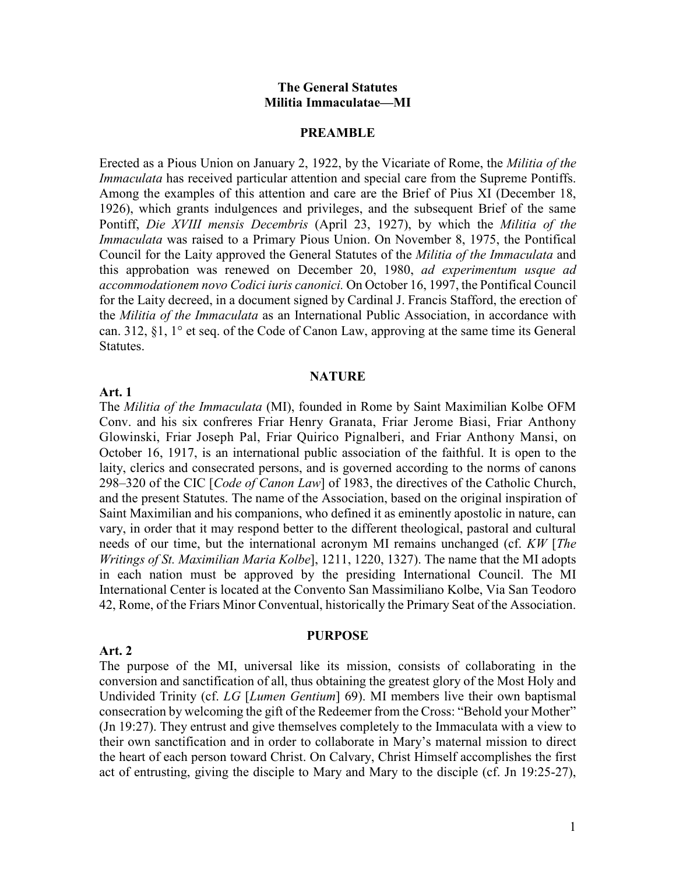#### **The General Statutes Militia Immaculatae—MI**

#### **PREAMBLE**

Erected as a Pious Union on January 2, 1922, by the Vicariate of Rome, the *Militia of the Immaculata* has received particular attention and special care from the Supreme Pontiffs. Among the examples of this attention and care are the Brief of Pius XI (December 18, 1926), which grants indulgences and privileges, and the subsequent Brief of the same Pontiff, *Die XVIII mensis Decembris* (April 23, 1927), by which the *Militia of the Immaculata* was raised to a Primary Pious Union. On November 8, 1975, the Pontifical Council for the Laity approved the General Statutes of the *Militia of the Immaculata* and this approbation was renewed on December 20, 1980, *ad experimentum usque ad accommodationem novo Codici iuris canonici.* On October 16, 1997, the Pontifical Council for the Laity decreed, in a document signed by Cardinal J. Francis Stafford, the erection of the *Militia of the Immaculata* as an International Public Association, in accordance with can. 312, §1, 1° et seq. of the Code of Canon Law, approving at the same time its General Statutes.

#### **NATURE**

#### **Art. 1**

**Art. 2** 

The *Militia of the Immaculata* (MI), founded in Rome by Saint Maximilian Kolbe OFM Conv. and his six confreres Friar Henry Granata, Friar Jerome Biasi, Friar Anthony Glowinski, Friar Joseph Pal, Friar Quirico Pignalberi, and Friar Anthony Mansi, on October 16, 1917, is an international public association of the faithful. It is open to the laity, clerics and consecrated persons, and is governed according to the norms of canons 298–320 of the CIC [*Code of Canon Law*] of 1983, the directives of the Catholic Church, and the present Statutes. The name of the Association, based on the original inspiration of Saint Maximilian and his companions, who defined it as eminently apostolic in nature, can vary, in order that it may respond better to the different theological, pastoral and cultural needs of our time, but the international acronym MI remains unchanged (cf. *KW* [*The Writings of St. Maximilian Maria Kolbe*], 1211, 1220, 1327). The name that the MI adopts in each nation must be approved by the presiding International Council. The MI International Center is located at the Convento San Massimiliano Kolbe, Via San Teodoro 42, Rome, of the Friars Minor Conventual, historically the Primary Seat of the Association.

The purpose of the MI, universal like its mission, consists of collaborating in the conversion and sanctification of all, thus obtaining the greatest glory of the Most Holy and Undivided Trinity (cf. *LG* [*Lumen Gentium*] 69). MI members live their own baptismal consecration by welcoming the gift of the Redeemer from the Cross: "Behold your Mother" (Jn 19:27). They entrust and give themselves completely to the Immaculata with a view to their own sanctification and in order to collaborate in Mary's maternal mission to direct the heart of each person toward Christ. On Calvary, Christ Himself accomplishes the first act of entrusting, giving the disciple to Mary and Mary to the disciple (cf. Jn 19:25-27),

**PURPOSE**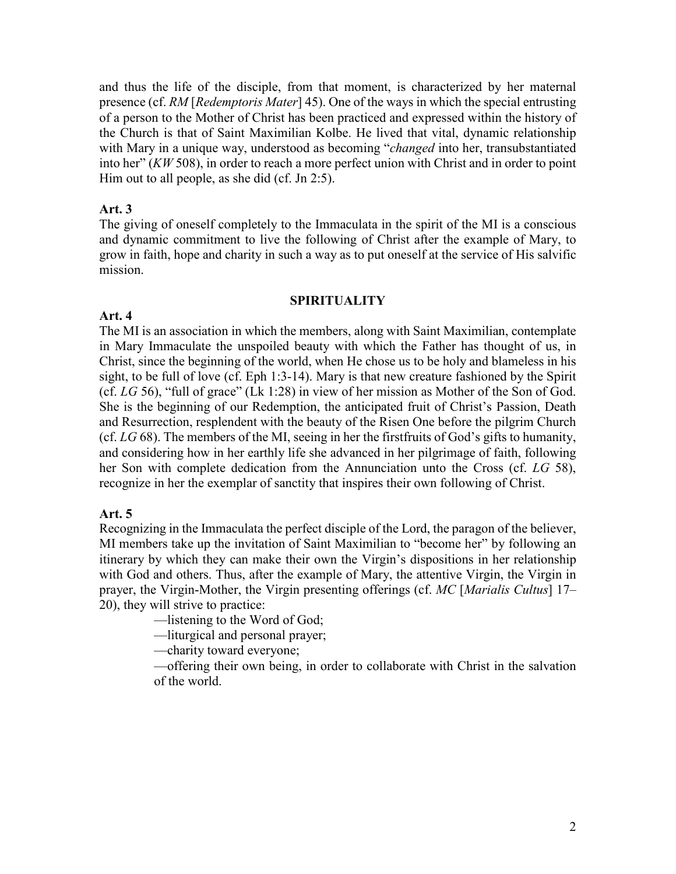and thus the life of the disciple, from that moment, is characterized by her maternal presence (cf. *RM* [*Redemptoris Mater*] 45). One of the ways in which the special entrusting of a person to the Mother of Christ has been practiced and expressed within the history of the Church is that of Saint Maximilian Kolbe. He lived that vital, dynamic relationship with Mary in a unique way, understood as becoming "*changed* into her, transubstantiated into her" (*KW* 508), in order to reach a more perfect union with Christ and in order to point Him out to all people, as she did (cf. Jn 2:5).

#### **Art. 3**

The giving of oneself completely to the Immaculata in the spirit of the MI is a conscious and dynamic commitment to live the following of Christ after the example of Mary, to grow in faith, hope and charity in such a way as to put oneself at the service of His salvific mission.

#### **SPIRITUALITY**

#### **Art. 4**

The MI is an association in which the members, along with Saint Maximilian, contemplate in Mary Immaculate the unspoiled beauty with which the Father has thought of us, in Christ, since the beginning of the world, when He chose us to be holy and blameless in his sight, to be full of love (cf. Eph 1:3-14). Mary is that new creature fashioned by the Spirit (cf. *LG* 56), "full of grace" (Lk 1:28) in view of her mission as Mother of the Son of God. She is the beginning of our Redemption, the anticipated fruit of Christ's Passion, Death and Resurrection, resplendent with the beauty of the Risen One before the pilgrim Church (cf. *LG* 68). The members of the MI, seeing in her the firstfruits of God's gifts to humanity, and considering how in her earthly life she advanced in her pilgrimage of faith, following her Son with complete dedication from the Annunciation unto the Cross (cf. *LG* 58), recognize in her the exemplar of sanctity that inspires their own following of Christ.

#### **Art. 5**

Recognizing in the Immaculata the perfect disciple of the Lord, the paragon of the believer, MI members take up the invitation of Saint Maximilian to "become her" by following an itinerary by which they can make their own the Virgin's dispositions in her relationship with God and others. Thus, after the example of Mary, the attentive Virgin, the Virgin in prayer, the Virgin-Mother, the Virgin presenting offerings (cf. *MC* [*Marialis Cultus*] 17– 20), they will strive to practice:

—listening to the Word of God;

—liturgical and personal prayer;

—charity toward everyone;

—offering their own being, in order to collaborate with Christ in the salvation of the world.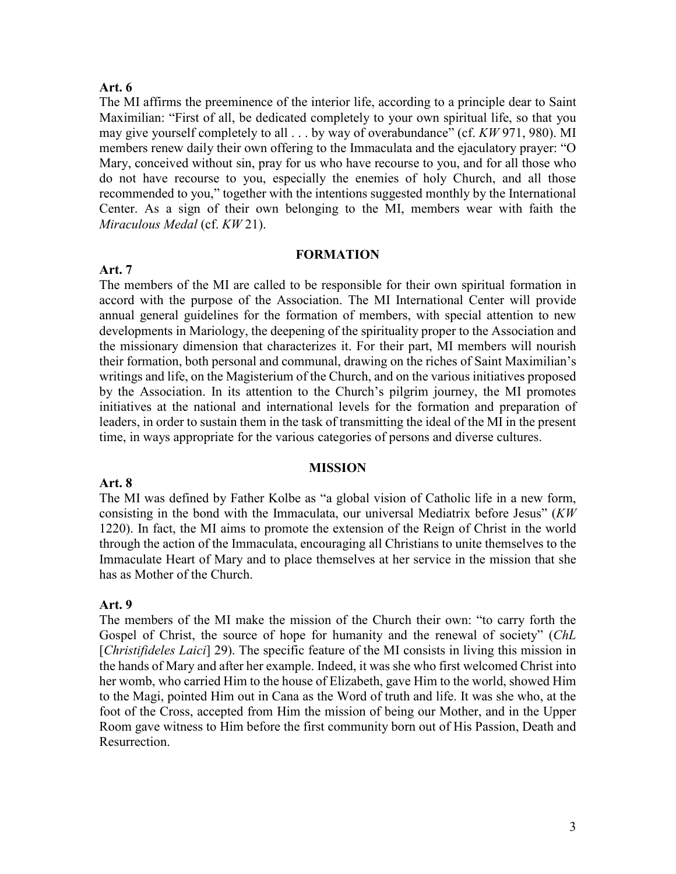#### **Art. 6**

**Art. 7** 

The MI affirms the preeminence of the interior life, according to a principle dear to Saint Maximilian: "First of all, be dedicated completely to your own spiritual life, so that you may give yourself completely to all . . . by way of overabundance" (cf. *KW* 971, 980). MI members renew daily their own offering to the Immaculata and the ejaculatory prayer: "O Mary, conceived without sin, pray for us who have recourse to you, and for all those who do not have recourse to you, especially the enemies of holy Church, and all those recommended to you," together with the intentions suggested monthly by the International Center. As a sign of their own belonging to the MI, members wear with faith the *Miraculous Medal* (cf. *KW* 21).

#### **FORMATION**

The members of the MI are called to be responsible for their own spiritual formation in accord with the purpose of the Association. The MI International Center will provide annual general guidelines for the formation of members, with special attention to new developments in Mariology, the deepening of the spirituality proper to the Association and the missionary dimension that characterizes it. For their part, MI members will nourish their formation, both personal and communal, drawing on the riches of Saint Maximilian's writings and life, on the Magisterium of the Church, and on the various initiatives proposed by the Association. In its attention to the Church's pilgrim journey, the MI promotes initiatives at the national and international levels for the formation and preparation of leaders, in order to sustain them in the task of transmitting the ideal of the MI in the present time, in ways appropriate for the various categories of persons and diverse cultures.

#### **MISSION**

#### **Art. 8**

The MI was defined by Father Kolbe as "a global vision of Catholic life in a new form, consisting in the bond with the Immaculata, our universal Mediatrix before Jesus" (*KW* 1220). In fact, the MI aims to promote the extension of the Reign of Christ in the world through the action of the Immaculata, encouraging all Christians to unite themselves to the Immaculate Heart of Mary and to place themselves at her service in the mission that she has as Mother of the Church.

#### **Art. 9**

The members of the MI make the mission of the Church their own: "to carry forth the Gospel of Christ, the source of hope for humanity and the renewal of society" (*ChL* [*Christifideles Laici*] 29). The specific feature of the MI consists in living this mission in the hands of Mary and after her example. Indeed, it was she who first welcomed Christ into her womb, who carried Him to the house of Elizabeth, gave Him to the world, showed Him to the Magi, pointed Him out in Cana as the Word of truth and life. It was she who, at the foot of the Cross, accepted from Him the mission of being our Mother, and in the Upper Room gave witness to Him before the first community born out of His Passion, Death and Resurrection.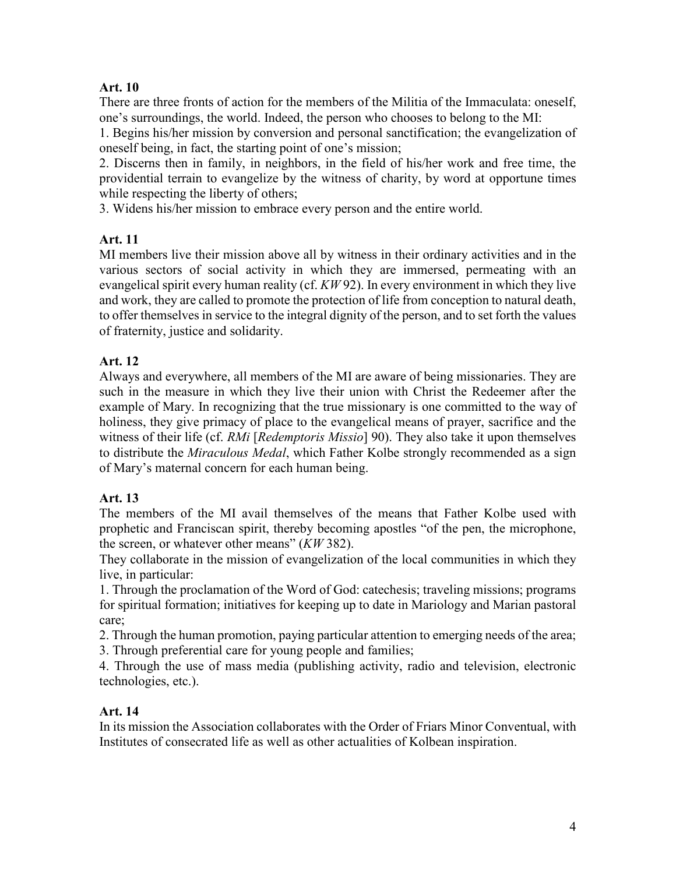## **Art. 10**

There are three fronts of action for the members of the Militia of the Immaculata: oneself, one's surroundings, the world. Indeed, the person who chooses to belong to the MI:

1. Begins his/her mission by conversion and personal sanctification; the evangelization of oneself being, in fact, the starting point of one's mission;

2. Discerns then in family, in neighbors, in the field of his/her work and free time, the providential terrain to evangelize by the witness of charity, by word at opportune times while respecting the liberty of others;

3. Widens his/her mission to embrace every person and the entire world.

# **Art. 11**

MI members live their mission above all by witness in their ordinary activities and in the various sectors of social activity in which they are immersed, permeating with an evangelical spirit every human reality (cf. *KW* 92). In every environment in which they live and work, they are called to promote the protection of life from conception to natural death, to offer themselves in service to the integral dignity of the person, and to set forth the values of fraternity, justice and solidarity.

# **Art. 12**

Always and everywhere, all members of the MI are aware of being missionaries. They are such in the measure in which they live their union with Christ the Redeemer after the example of Mary. In recognizing that the true missionary is one committed to the way of holiness, they give primacy of place to the evangelical means of prayer, sacrifice and the witness of their life (cf. *RMi* [*Redemptoris Missio*] 90). They also take it upon themselves to distribute the *Miraculous Medal*, which Father Kolbe strongly recommended as a sign of Mary's maternal concern for each human being.

## **Art. 13**

The members of the MI avail themselves of the means that Father Kolbe used with prophetic and Franciscan spirit, thereby becoming apostles "of the pen, the microphone, the screen, or whatever other means" (*KW* 382).

They collaborate in the mission of evangelization of the local communities in which they live, in particular:

1. Through the proclamation of the Word of God: catechesis; traveling missions; programs for spiritual formation; initiatives for keeping up to date in Mariology and Marian pastoral care;

2. Through the human promotion, paying particular attention to emerging needs of the area; 3. Through preferential care for young people and families;

4. Through the use of mass media (publishing activity, radio and television, electronic technologies, etc.).

## **Art. 14**

In its mission the Association collaborates with the Order of Friars Minor Conventual, with Institutes of consecrated life as well as other actualities of Kolbean inspiration.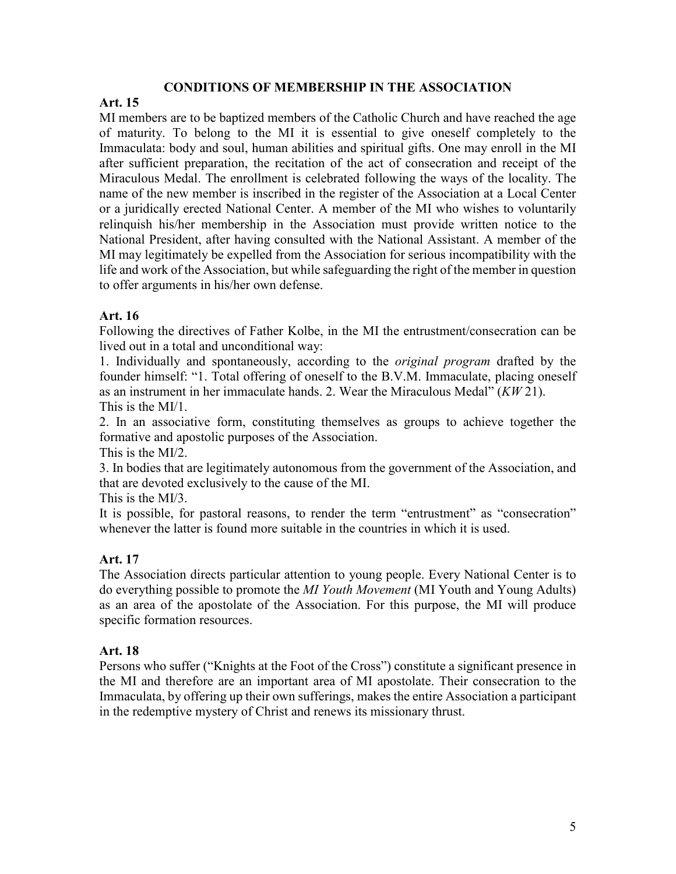#### **CONDITIONS OF MEMBERSHIP IN THE ASSOCIATION**

#### **Art. 15**

MI members are to be baptized members of the Catholic Church and have reached the age of maturity. To belong to the MI it is essential to give oneself completely to the Immaculata: body and soul, human abilities and spiritual gifts. One may enroll in the MI after sufficient preparation, the recitation of the act of consecration and receipt of the Miraculous Medal. The enrollment is celebrated following the ways of the locality. The name of the new member is inscribed in the register of the Association at a Local Center or a juridically erected National Center. A member of the MI who wishes to voluntarily relinquish his/her membership in the Association must provide written notice to the National President, after having consulted with the National Assistant. A member of the MI may legitimately be expelled from the Association for serious incompatibility with the life and work of the Association, but while safeguarding the right of the member in question to offer arguments in his/her own defense.

## **Art. 16**

Following the directives of Father Kolbe, in the MI the entrustment/consecration can be lived out in a total and unconditional way:

1. Individually and spontaneously, according to the *original program* drafted by the founder himself: "1. Total offering of oneself to the B.V.M. Immaculate, placing oneself as an instrument in her immaculate hands. 2. Wear the Miraculous Medal" (*KW* 21). This is the MI/1.

2. In an associative form, constituting themselves as groups to achieve together the formative and apostolic purposes of the Association.

This is the MI/2.

3. In bodies that are legitimately autonomous from the government of the Association, and that are devoted exclusively to the cause of the MI.

This is the MI/3.

It is possible, for pastoral reasons, to render the term "entrustment" as "consecration" whenever the latter is found more suitable in the countries in which it is used.

# **Art. 17**

The Association directs particular attention to young people. Every National Center is to do everything possible to promote the *MI Youth Movement* (MI Youth and Young Adults) as an area of the apostolate of the Association. For this purpose, the MI will produce specific formation resources.

## **Art. 18**

Persons who suffer ("Knights at the Foot of the Cross") constitute a significant presence in the MI and therefore are an important area of MI apostolate. Their consecration to the Immaculata, by offering up their own sufferings, makes the entire Association a participant in the redemptive mystery of Christ and renews its missionary thrust.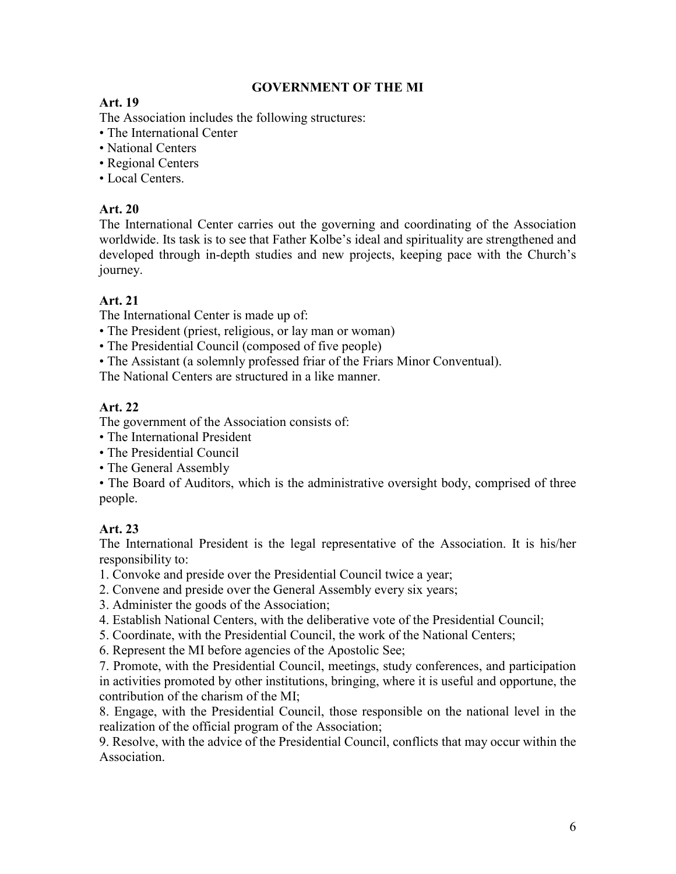## **GOVERNMENT OF THE MI**

# **Art. 19**

The Association includes the following structures:

- The International Center
- National Centers
- Regional Centers
- Local Centers.

# **Art. 20**

The International Center carries out the governing and coordinating of the Association worldwide. Its task is to see that Father Kolbe's ideal and spirituality are strengthened and developed through in-depth studies and new projects, keeping pace with the Church's journey.

# **Art. 21**

The International Center is made up of:

- The President (priest, religious, or lay man or woman)
- The Presidential Council (composed of five people)
- The Assistant (a solemnly professed friar of the Friars Minor Conventual).

The National Centers are structured in a like manner.

# **Art. 22**

The government of the Association consists of:

- The International President
- The Presidential Council
- The General Assembly

• The Board of Auditors, which is the administrative oversight body, comprised of three people.

# **Art. 23**

The International President is the legal representative of the Association. It is his/her responsibility to:

- 1. Convoke and preside over the Presidential Council twice a year;
- 2. Convene and preside over the General Assembly every six years;
- 3. Administer the goods of the Association;
- 4. Establish National Centers, with the deliberative vote of the Presidential Council;
- 5. Coordinate, with the Presidential Council, the work of the National Centers;
- 6. Represent the MI before agencies of the Apostolic See;

7. Promote, with the Presidential Council, meetings, study conferences, and participation in activities promoted by other institutions, bringing, where it is useful and opportune, the contribution of the charism of the MI;

8. Engage, with the Presidential Council, those responsible on the national level in the realization of the official program of the Association;

9. Resolve, with the advice of the Presidential Council, conflicts that may occur within the Association.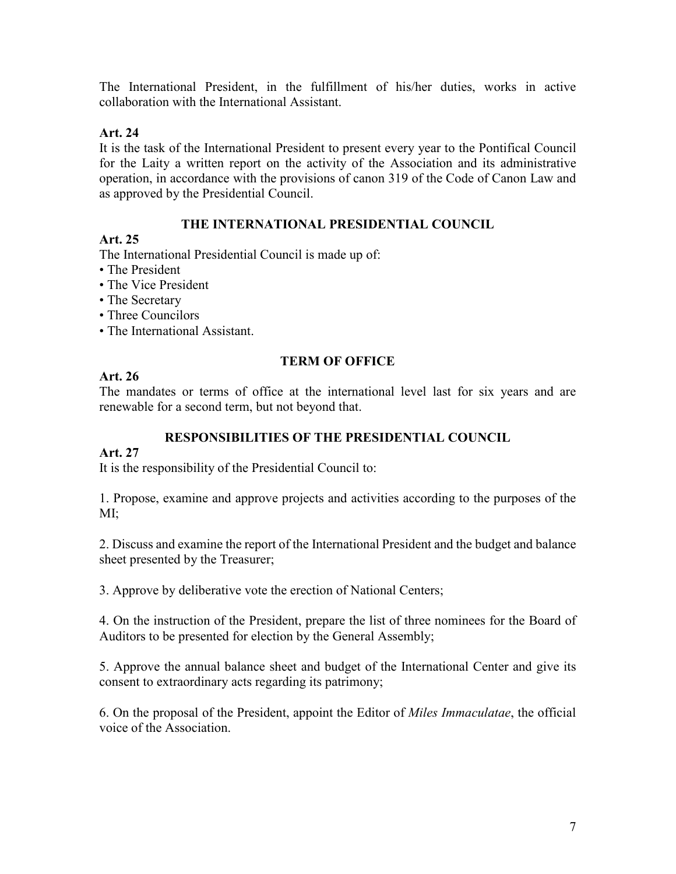The International President, in the fulfillment of his/her duties, works in active collaboration with the International Assistant.

## **Art. 24**

It is the task of the International President to present every year to the Pontifical Council for the Laity a written report on the activity of the Association and its administrative operation, in accordance with the provisions of canon 319 of the Code of Canon Law and as approved by the Presidential Council.

## **THE INTERNATIONAL PRESIDENTIAL COUNCIL**

#### **Art. 25**

The International Presidential Council is made up of:

- The President
- The Vice President
- The Secretary
- Three Councilors
- The International Assistant.

#### **TERM OF OFFICE**

## **Art. 26**

The mandates or terms of office at the international level last for six years and are renewable for a second term, but not beyond that.

## **RESPONSIBILITIES OF THE PRESIDENTIAL COUNCIL**

## **Art. 27**

It is the responsibility of the Presidential Council to:

1. Propose, examine and approve projects and activities according to the purposes of the MI;

2. Discuss and examine the report of the International President and the budget and balance sheet presented by the Treasurer;

3. Approve by deliberative vote the erection of National Centers;

4. On the instruction of the President, prepare the list of three nominees for the Board of Auditors to be presented for election by the General Assembly;

5. Approve the annual balance sheet and budget of the International Center and give its consent to extraordinary acts regarding its patrimony;

6. On the proposal of the President, appoint the Editor of *Miles Immaculatae*, the official voice of the Association.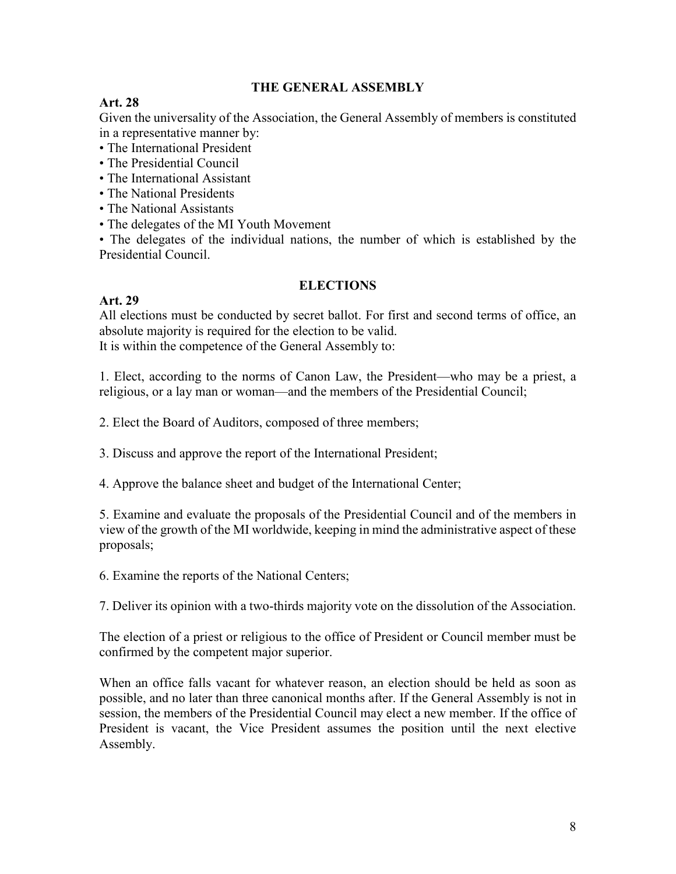#### **THE GENERAL ASSEMBLY**

## **Art. 28**

Given the universality of the Association, the General Assembly of members is constituted in a representative manner by:

- The International President
- The Presidential Council
- The International Assistant
- The National Presidents
- The National Assistants
- The delegates of the MI Youth Movement

• The delegates of the individual nations, the number of which is established by the Presidential Council.

#### **ELECTIONS**

## **Art. 29**

All elections must be conducted by secret ballot. For first and second terms of office, an absolute majority is required for the election to be valid. It is within the competence of the General Assembly to:

1. Elect, according to the norms of Canon Law, the President—who may be a priest, a religious, or a lay man or woman—and the members of the Presidential Council;

2. Elect the Board of Auditors, composed of three members;

3. Discuss and approve the report of the International President;

4. Approve the balance sheet and budget of the International Center;

5. Examine and evaluate the proposals of the Presidential Council and of the members in view of the growth of the MI worldwide, keeping in mind the administrative aspect of these proposals;

6. Examine the reports of the National Centers;

7. Deliver its opinion with a two-thirds majority vote on the dissolution of the Association.

The election of a priest or religious to the office of President or Council member must be confirmed by the competent major superior.

When an office falls vacant for whatever reason, an election should be held as soon as possible, and no later than three canonical months after. If the General Assembly is not in session, the members of the Presidential Council may elect a new member. If the office of President is vacant, the Vice President assumes the position until the next elective Assembly.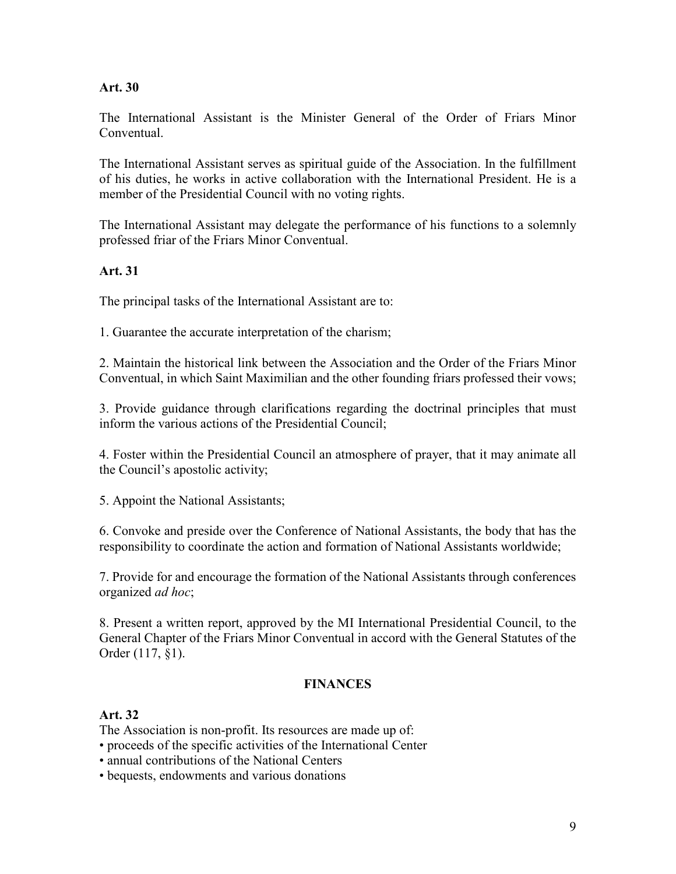#### **Art. 30**

The International Assistant is the Minister General of the Order of Friars Minor Conventual.

The International Assistant serves as spiritual guide of the Association. In the fulfillment of his duties, he works in active collaboration with the International President. He is a member of the Presidential Council with no voting rights.

The International Assistant may delegate the performance of his functions to a solemnly professed friar of the Friars Minor Conventual.

#### **Art. 31**

The principal tasks of the International Assistant are to:

1. Guarantee the accurate interpretation of the charism;

2. Maintain the historical link between the Association and the Order of the Friars Minor Conventual, in which Saint Maximilian and the other founding friars professed their vows;

3. Provide guidance through clarifications regarding the doctrinal principles that must inform the various actions of the Presidential Council;

4. Foster within the Presidential Council an atmosphere of prayer, that it may animate all the Council's apostolic activity;

5. Appoint the National Assistants;

6. Convoke and preside over the Conference of National Assistants, the body that has the responsibility to coordinate the action and formation of National Assistants worldwide;

7. Provide for and encourage the formation of the National Assistants through conferences organized *ad hoc*;

8. Present a written report, approved by the MI International Presidential Council, to the General Chapter of the Friars Minor Conventual in accord with the General Statutes of the Order (117, §1).

#### **FINANCES**

#### **Art. 32**

The Association is non-profit. Its resources are made up of:

- proceeds of the specific activities of the International Center
- annual contributions of the National Centers
- bequests, endowments and various donations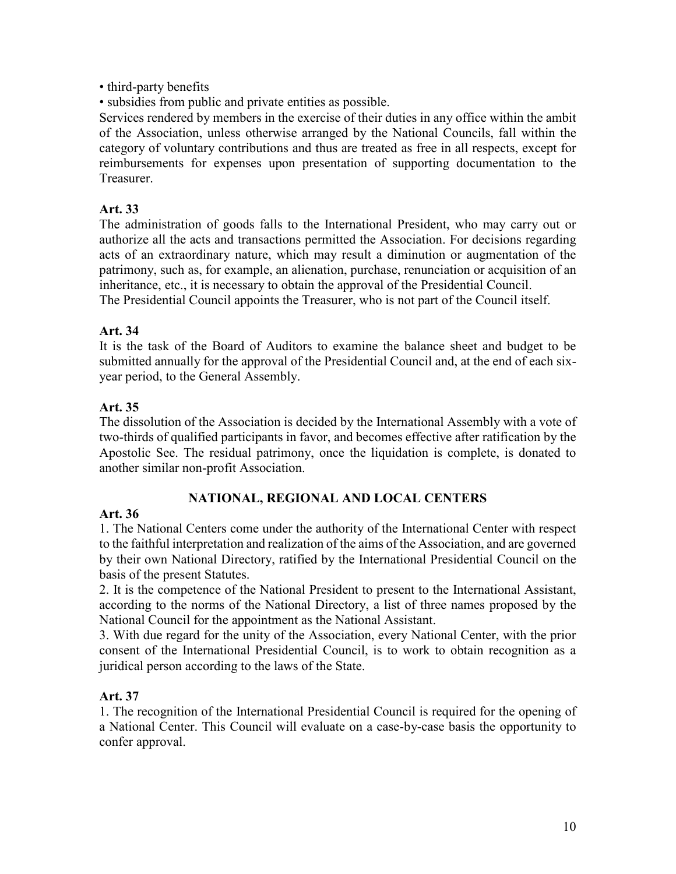• third-party benefits

• subsidies from public and private entities as possible.

Services rendered by members in the exercise of their duties in any office within the ambit of the Association, unless otherwise arranged by the National Councils, fall within the category of voluntary contributions and thus are treated as free in all respects, except for reimbursements for expenses upon presentation of supporting documentation to the Treasurer.

## **Art. 33**

The administration of goods falls to the International President, who may carry out or authorize all the acts and transactions permitted the Association. For decisions regarding acts of an extraordinary nature, which may result a diminution or augmentation of the patrimony, such as, for example, an alienation, purchase, renunciation or acquisition of an inheritance, etc., it is necessary to obtain the approval of the Presidential Council. The Presidential Council appoints the Treasurer, who is not part of the Council itself.

# **Art. 34**

It is the task of the Board of Auditors to examine the balance sheet and budget to be submitted annually for the approval of the Presidential Council and, at the end of each sixyear period, to the General Assembly.

# **Art. 35**

The dissolution of the Association is decided by the International Assembly with a vote of two-thirds of qualified participants in favor, and becomes effective after ratification by the Apostolic See. The residual patrimony, once the liquidation is complete, is donated to another similar non-profit Association.

# **NATIONAL, REGIONAL AND LOCAL CENTERS**

## **Art. 36**

1. The National Centers come under the authority of the International Center with respect to the faithful interpretation and realization of the aims of the Association, and are governed by their own National Directory, ratified by the International Presidential Council on the basis of the present Statutes.

2. It is the competence of the National President to present to the International Assistant, according to the norms of the National Directory, a list of three names proposed by the National Council for the appointment as the National Assistant.

3. With due regard for the unity of the Association, every National Center, with the prior consent of the International Presidential Council, is to work to obtain recognition as a juridical person according to the laws of the State.

## **Art. 37**

1. The recognition of the International Presidential Council is required for the opening of a National Center. This Council will evaluate on a case-by-case basis the opportunity to confer approval.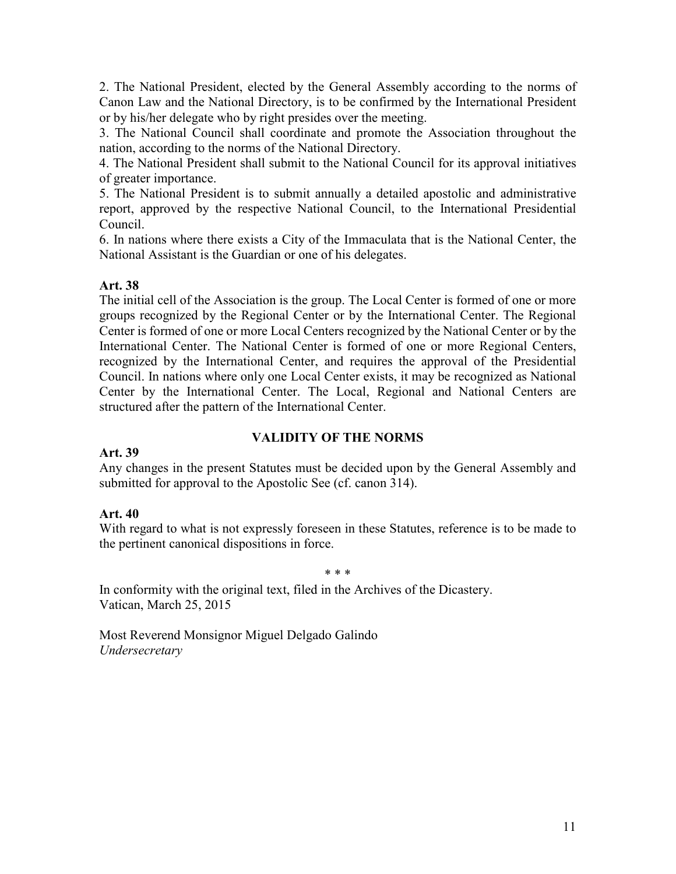2. The National President, elected by the General Assembly according to the norms of Canon Law and the National Directory, is to be confirmed by the International President or by his/her delegate who by right presides over the meeting.

3. The National Council shall coordinate and promote the Association throughout the nation, according to the norms of the National Directory.

4. The National President shall submit to the National Council for its approval initiatives of greater importance.

5. The National President is to submit annually a detailed apostolic and administrative report, approved by the respective National Council, to the International Presidential Council.

6. In nations where there exists a City of the Immaculata that is the National Center, the National Assistant is the Guardian or one of his delegates.

## **Art. 38**

The initial cell of the Association is the group. The Local Center is formed of one or more groups recognized by the Regional Center or by the International Center. The Regional Center is formed of one or more Local Centers recognized by the National Center or by the International Center. The National Center is formed of one or more Regional Centers, recognized by the International Center, and requires the approval of the Presidential Council. In nations where only one Local Center exists, it may be recognized as National Center by the International Center. The Local, Regional and National Centers are structured after the pattern of the International Center.

## **VALIDITY OF THE NORMS**

## **Art. 39**

Any changes in the present Statutes must be decided upon by the General Assembly and submitted for approval to the Apostolic See (cf. canon 314).

## **Art. 40**

With regard to what is not expressly foreseen in these Statutes, reference is to be made to the pertinent canonical dispositions in force.

#### \* \* \*

In conformity with the original text, filed in the Archives of the Dicastery. Vatican, March 25, 2015

Most Reverend Monsignor Miguel Delgado Galindo *Undersecretary*